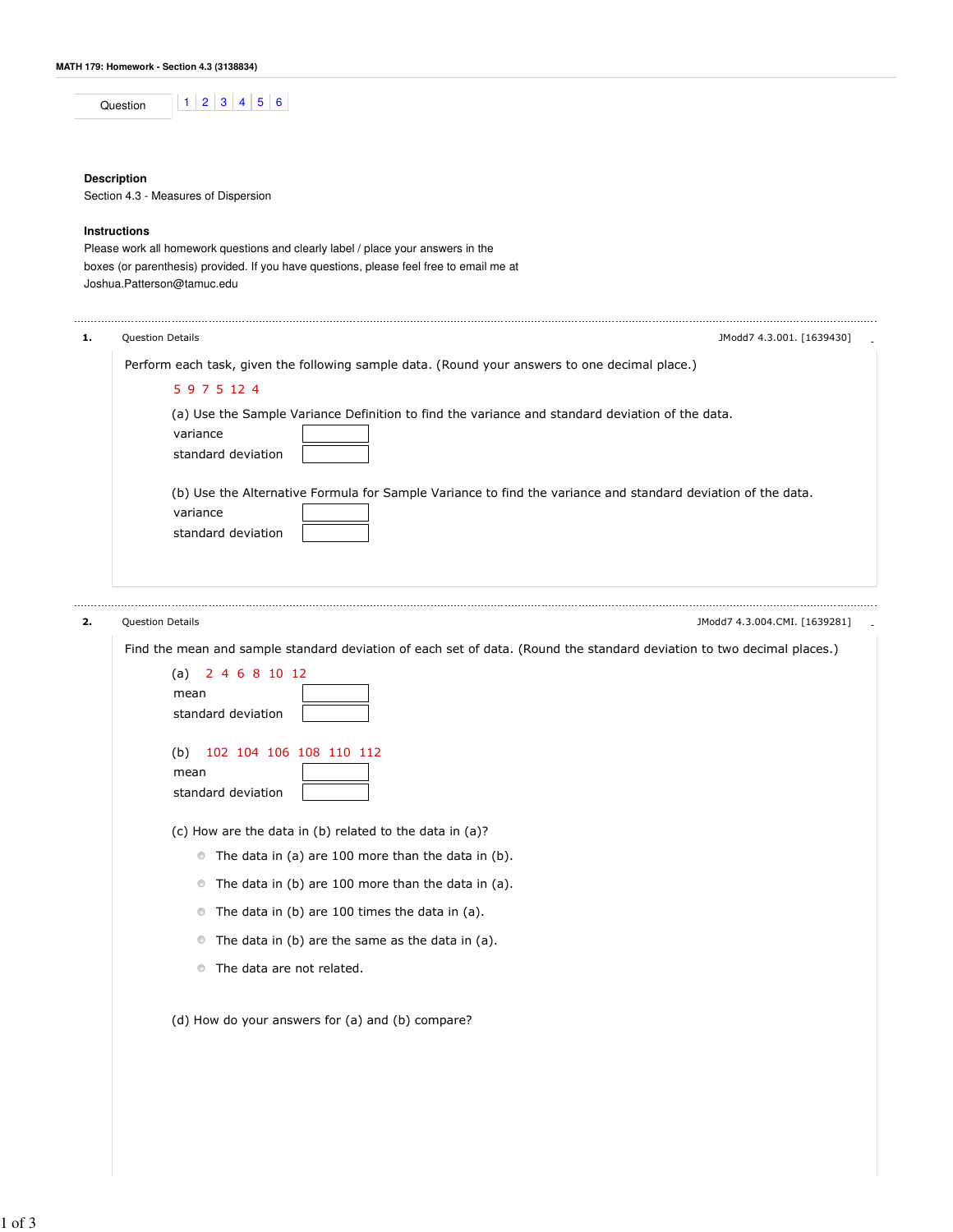## **Description**

Section 4.3 - Measures of Dispersion

# **Instructions**

Please work all homework questions and clearly label / place your answers in the boxes (or parenthesis) provided. If you have questions, please feel free to email me at Joshua.Patterson@tamuc.edu

| 1. | Question Details<br>JModd7 4.3.001. [1639430]                                                                                                  |
|----|------------------------------------------------------------------------------------------------------------------------------------------------|
|    | Perform each task, given the following sample data. (Round your answers to one decimal place.)                                                 |
|    | 5 9 7 5 12 4                                                                                                                                   |
|    | (a) Use the Sample Variance Definition to find the variance and standard deviation of the data.<br>variance<br>standard deviation              |
|    | (b) Use the Alternative Formula for Sample Variance to find the variance and standard deviation of the data.<br>variance<br>standard deviation |
| 2. | Question Details<br>JModd7 4.3.004.CMI. [1639281]                                                                                              |
|    | Find the mean and sample standard deviation of each set of data. (Round the standard deviation to two decimal places.)                         |
|    | 2 4 6 8 10 12<br>(a)<br>mean<br>standard deviation                                                                                             |
|    | 102 104 106 108 110 112<br>(b)<br>mean<br>standard deviation                                                                                   |
|    | (c) How are the data in (b) related to the data in (a)?                                                                                        |
|    | • The data in (a) are 100 more than the data in (b).                                                                                           |
|    | The data in (b) are 100 more than the data in (a).<br>$\circledcirc$                                                                           |
|    | The data in (b) are 100 times the data in (a).<br>$\circledcirc$                                                                               |
|    | The data in (b) are the same as the data in (a).<br>$\circledcirc$                                                                             |
|    | The data are not related.<br>$\circledcirc$                                                                                                    |
|    | (d) How do your answers for (a) and (b) compare?                                                                                               |
|    |                                                                                                                                                |

1 of 3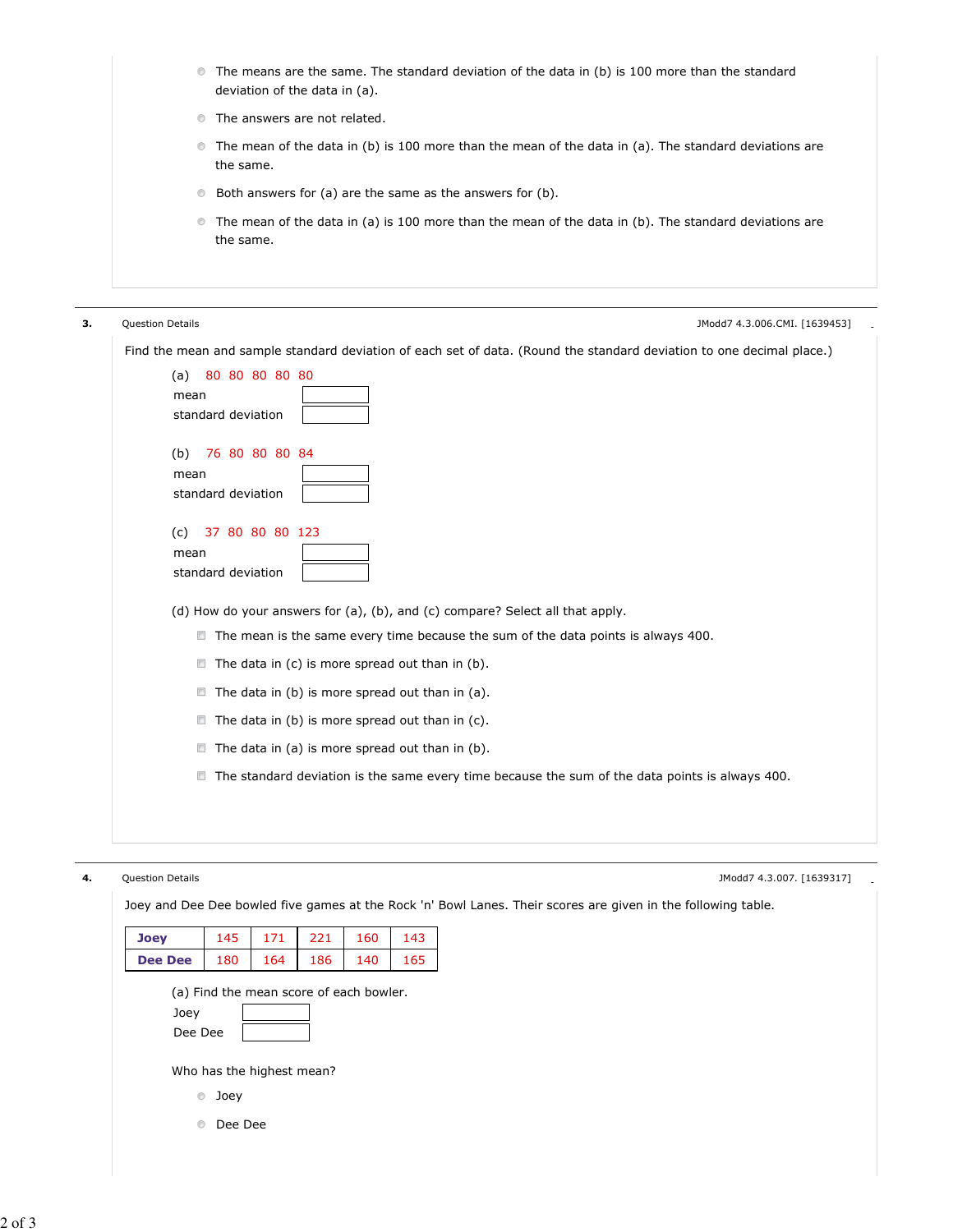| • The means are the same. The standard deviation of the data in (b) is 100 more than the standard |  |  |  |  |
|---------------------------------------------------------------------------------------------------|--|--|--|--|
| deviation of the data in (a).                                                                     |  |  |  |  |

- The answers are not related.
- The mean of the data in (b) is 100 more than the mean of the data in (a). The standard deviations are the same.
- Both answers for (a) are the same as the answers for (b).
- The mean of the data in (a) is 100 more than the mean of the data in (b). The standard deviations are the same.

| з. | <b>Question Details</b><br>JModd7 4.3.006.CMI. [1639453]                                                              |
|----|-----------------------------------------------------------------------------------------------------------------------|
|    | Find the mean and sample standard deviation of each set of data. (Round the standard deviation to one decimal place.) |
|    | 80 80 80 80 80<br>(a)                                                                                                 |
|    | mean<br>standard deviation                                                                                            |
|    | 76 80 80 80 84<br>(b)<br>mean                                                                                         |
|    | standard deviation                                                                                                    |
|    | 37 80 80 80 123<br>(c)<br>mean<br>standard deviation                                                                  |
|    | (d) How do your answers for (a), (b), and (c) compare? Select all that apply.                                         |
|    | The mean is the same every time because the sum of the data points is always 400.                                     |
|    | $\blacksquare$ The data in (c) is more spread out than in (b).                                                        |
|    | The data in (b) is more spread out than in (a).<br>$\Box$                                                             |
|    | The data in (b) is more spread out than in (c).<br>$\Box$                                                             |
|    | The data in (a) is more spread out than in (b).<br>$\Box$                                                             |
|    | $\Box$<br>The standard deviation is the same every time because the sum of the data points is always 400.             |
|    |                                                                                                                       |
|    |                                                                                                                       |
|    |                                                                                                                       |

**4.** Question Details **- Alternative Controller** - Alternative Controller - Alternative Controller - Alternative Controller - Alternative Controller - Alternative Controller - Alternative Controller - Alternative Controlle

Joey and Dee Dee bowled five games at the Rock 'n' Bowl Lanes. Their scores are given in the following table.

| <b>Joey</b>                                                | 145 | 171 | 221 | 160 | 143 |  |  |
|------------------------------------------------------------|-----|-----|-----|-----|-----|--|--|
| <b>Dee Dee</b>                                             | 180 | 164 | 186 | 140 | 165 |  |  |
| (a) Find the mean score of each bowler.<br>Joey<br>Dee Dee |     |     |     |     |     |  |  |
| Who has the highest mean?                                  |     |     |     |     |     |  |  |
| Joey<br>$\circledcirc$                                     |     |     |     |     |     |  |  |
| Dee Dee<br>⊙                                               |     |     |     |     |     |  |  |